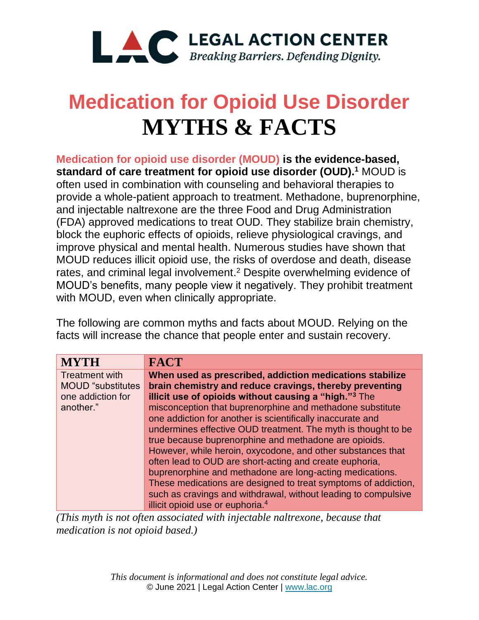

## **Medication for Opioid Use Disorder MYTHS & FACTS**

**Medication for opioid use disorder (MOUD) is the evidence-based, standard of care treatment for opioid use disorder (OUD).<sup>1</sup>** MOUD is often used in combination with counseling and behavioral therapies to provide a whole-patient approach to treatment. Methadone, buprenorphine, and injectable naltrexone are the three Food and Drug Administration (FDA) approved medications to treat OUD. They stabilize brain chemistry, block the euphoric effects of opioids, relieve physiological cravings, and improve physical and mental health. Numerous studies have shown that MOUD reduces illicit opioid use, the risks of overdose and death, disease rates, and criminal legal involvement. <sup>2</sup> Despite overwhelming evidence of MOUD's benefits, many people view it negatively. They prohibit treatment with MOUD, even when clinically appropriate.

The following are common myths and facts about MOUD. Relying on the facts will increase the chance that people enter and sustain recovery.

| <b>MYTH</b>               | <b>FACT</b>                                                       |
|---------------------------|-------------------------------------------------------------------|
| <b>Treatment with</b>     | When used as prescribed, addiction medications stabilize          |
| <b>MOUD</b> "substitutes" | brain chemistry and reduce cravings, thereby preventing           |
| one addiction for         | illicit use of opioids without causing a "high." <sup>3</sup> The |
| another."                 | misconception that buprenorphine and methadone substitute         |
|                           | one addiction for another is scientifically inaccurate and        |
|                           | undermines effective OUD treatment. The myth is thought to be     |
|                           | true because buprenorphine and methadone are opioids.             |
|                           | However, while heroin, oxycodone, and other substances that       |
|                           | often lead to OUD are short-acting and create euphoria,           |
|                           | buprenorphine and methadone are long-acting medications.          |
|                           | These medications are designed to treat symptoms of addiction,    |
|                           | such as cravings and withdrawal, without leading to compulsive    |
|                           | illicit opioid use or euphoria. <sup>4</sup>                      |

*(This myth is not often associated with injectable naltrexone, because that medication is not opioid based.)*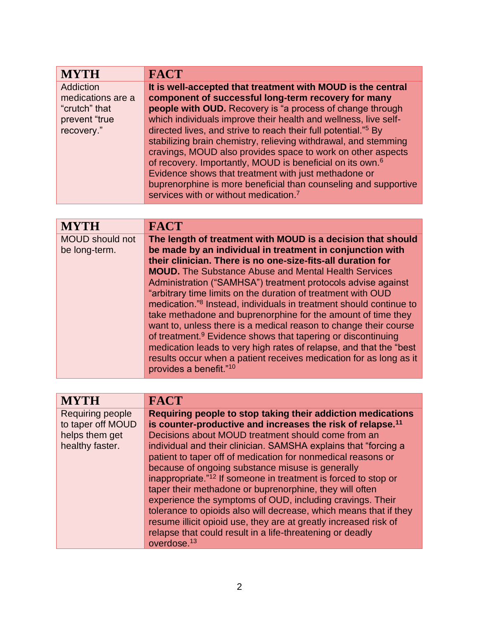| <b>MYTH</b>       | <b>FACT</b>                                                                |
|-------------------|----------------------------------------------------------------------------|
| Addiction         | It is well-accepted that treatment with MOUD is the central                |
| medications are a | component of successful long-term recovery for many                        |
| "crutch" that     | people with OUD. Recovery is "a process of change through                  |
| prevent "true     | which individuals improve their health and wellness, live self-            |
| recovery."        | directed lives, and strive to reach their full potential." <sup>5</sup> By |
|                   | stabilizing brain chemistry, relieving withdrawal, and stemming            |
|                   | cravings, MOUD also provides space to work on other aspects                |
|                   | of recovery. Importantly, MOUD is beneficial on its own. <sup>6</sup>      |
|                   | Evidence shows that treatment with just methadone or                       |
|                   | buprenorphine is more beneficial than counseling and supportive            |
|                   | services with or without medication. <sup>7</sup>                          |

| <b>MYTH</b>            | <b>FACT</b>                                                                    |
|------------------------|--------------------------------------------------------------------------------|
| <b>MOUD</b> should not | The length of treatment with MOUD is a decision that should                    |
| be long-term.          | be made by an individual in treatment in conjunction with                      |
|                        | their clinician. There is no one-size-fits-all duration for                    |
|                        | <b>MOUD.</b> The Substance Abuse and Mental Health Services                    |
|                        | Administration ("SAMHSA") treatment protocols advise against                   |
|                        | "arbitrary time limits on the duration of treatment with OUD                   |
|                        | medication." <sup>8</sup> Instead, individuals in treatment should continue to |
|                        | take methadone and buprenorphine for the amount of time they                   |
|                        | want to, unless there is a medical reason to change their course               |
|                        | of treatment. <sup>9</sup> Evidence shows that tapering or discontinuing       |
|                        | medication leads to very high rates of relapse, and that the "best"            |
|                        | results occur when a patient receives medication for as long as it             |
|                        | provides a benefit."10                                                         |
|                        |                                                                                |

| <b>MYTH</b>       | <b>FACT</b>                                                                |
|-------------------|----------------------------------------------------------------------------|
| Requiring people  | Requiring people to stop taking their addiction medications                |
| to taper off MOUD | is counter-productive and increases the risk of relapse. <sup>11</sup>     |
| helps them get    | Decisions about MOUD treatment should come from an                         |
| healthy faster.   | individual and their clinician. SAMSHA explains that "forcing a            |
|                   | patient to taper off of medication for nonmedical reasons or               |
|                   | because of ongoing substance misuse is generally                           |
|                   | inappropriate." <sup>12</sup> If someone in treatment is forced to stop or |
|                   | taper their methadone or buprenorphine, they will often                    |
|                   | experience the symptoms of OUD, including cravings. Their                  |
|                   | tolerance to opioids also will decrease, which means that if they          |
|                   | resume illicit opioid use, they are at greatly increased risk of           |
|                   | relapse that could result in a life-threatening or deadly                  |
|                   | overdose. $13$                                                             |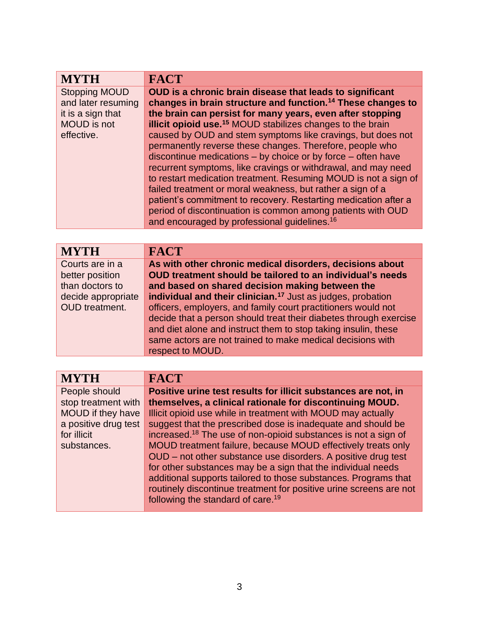| <b>MYTH</b>                                                                                         | <b>FACT</b>                                                                                                                                                                                                                                                                                                                                                                                                                                                                                                                                                                                                                                                                                                                                                                                                                                                               |
|-----------------------------------------------------------------------------------------------------|---------------------------------------------------------------------------------------------------------------------------------------------------------------------------------------------------------------------------------------------------------------------------------------------------------------------------------------------------------------------------------------------------------------------------------------------------------------------------------------------------------------------------------------------------------------------------------------------------------------------------------------------------------------------------------------------------------------------------------------------------------------------------------------------------------------------------------------------------------------------------|
| <b>Stopping MOUD</b><br>and later resuming<br>it is a sign that<br><b>MOUD</b> is not<br>effective. | OUD is a chronic brain disease that leads to significant<br>changes in brain structure and function. <sup>14</sup> These changes to<br>the brain can persist for many years, even after stopping<br>illicit opioid use. <sup>15</sup> MOUD stabilizes changes to the brain<br>caused by OUD and stem symptoms like cravings, but does not<br>permanently reverse these changes. Therefore, people who<br>discontinue medications $-$ by choice or by force $-$ often have<br>recurrent symptoms, like cravings or withdrawal, and may need<br>to restart medication treatment. Resuming MOUD is not a sign of<br>failed treatment or moral weakness, but rather a sign of a<br>patient's commitment to recovery. Restarting medication after a<br>period of discontinuation is common among patients with OUD<br>and encouraged by professional guidelines. <sup>16</sup> |

| <b>MYTH</b>           | <b>FACT</b>                                                             |
|-----------------------|-------------------------------------------------------------------------|
| Courts are in a       | As with other chronic medical disorders, decisions about                |
| better position       | OUD treatment should be tailored to an individual's needs               |
| than doctors to       | and based on shared decision making between the                         |
| decide appropriate    | individual and their clinician. <sup>17</sup> Just as judges, probation |
| <b>OUD</b> treatment. | officers, employers, and family court practitioners would not           |
|                       | decide that a person should treat their diabetes through exercise       |
|                       | and diet alone and instruct them to stop taking insulin, these          |
|                       | same actors are not trained to make medical decisions with              |
|                       | respect to MOUD.                                                        |

| <b>MYTH</b>          | <b>FACT</b>                                                                |
|----------------------|----------------------------------------------------------------------------|
| People should        | Positive urine test results for illicit substances are not, in             |
| stop treatment with  | themselves, a clinical rationale for discontinuing MOUD.                   |
| MOUD if they have    | Illicit opioid use while in treatment with MOUD may actually               |
| a positive drug test | suggest that the prescribed dose is inadequate and should be               |
| for illicit          | increased. <sup>18</sup> The use of non-opioid substances is not a sign of |
| substances.          | MOUD treatment failure, because MOUD effectively treats only               |
|                      | OUD – not other substance use disorders. A positive drug test              |
|                      | for other substances may be a sign that the individual needs               |
|                      | additional supports tailored to those substances. Programs that            |
|                      | routinely discontinue treatment for positive urine screens are not         |
|                      | following the standard of care. <sup>19</sup>                              |
|                      |                                                                            |